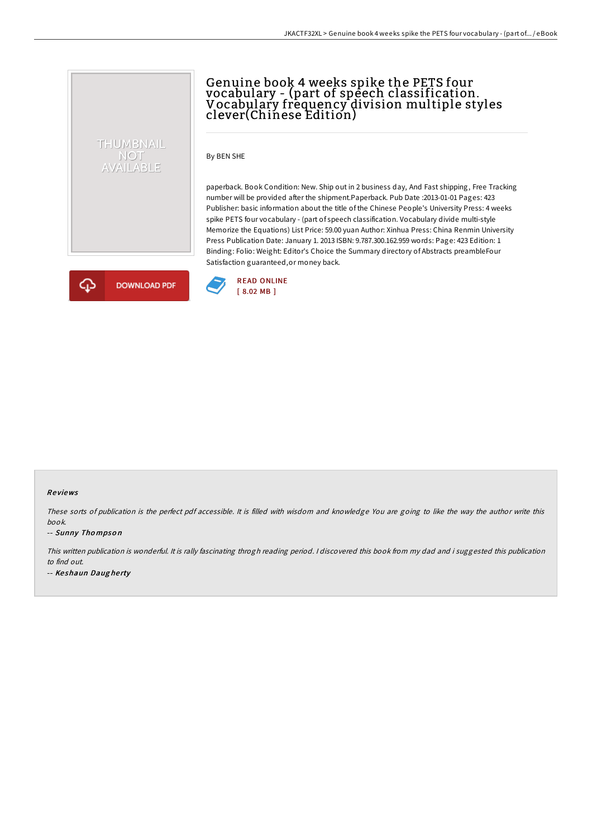# Genuine book 4 weeks spike the PETS four vocabulary - (part of speech classification. Vocabulary frequency division multiple styles clever(Chinese Edition)

By BEN SHE

paperback. Book Condition: New. Ship out in 2 business day, And Fast shipping, Free Tracking number will be provided after the shipment.Paperback. Pub Date :2013-01-01 Pages: 423 Publisher: basic information about the title of the Chinese People's University Press: 4 weeks spike PETS four vocabulary - (part of speech classification. Vocabulary divide multi-style Memorize the Equations) List Price: 59.00 yuan Author: Xinhua Press: China Renmin University Press Publication Date: January 1. 2013 ISBN: 9.787.300.162.959 words: Page: 423 Edition: 1 Binding: Folio: Weight: Editor's Choice the Summary directory of Abstracts preambleFour Satisfaction guaranteed,or money back.



THUMBNAIL NOT<br>AVAILABLE



#### Re views

These sorts of publication is the perfect pdf accessible. It is filled with wisdom and knowledge You are going to like the way the author write this book.

#### -- Sunny Tho mpso <sup>n</sup>

This written publication is wonderful. It is rally fascinating throgh reading period. <sup>I</sup> discovered this book from my dad and i suggested this publication to find out. -- Keshaun Daugherty